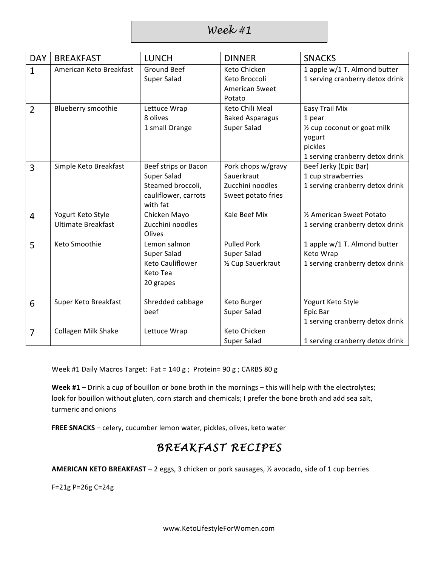*Week #1*

| <b>DAY</b>     | <b>BREAKFAST</b>                               | <b>LUNCH</b>                                                                                 | <b>DINNER</b>                                                              | <b>SNACKS</b>                                                                                                           |
|----------------|------------------------------------------------|----------------------------------------------------------------------------------------------|----------------------------------------------------------------------------|-------------------------------------------------------------------------------------------------------------------------|
| 1              | American Keto Breakfast                        | <b>Ground Beef</b><br>Super Salad                                                            | Keto Chicken<br>Keto Broccoli<br><b>American Sweet</b><br>Potato           | 1 apple w/1 T. Almond butter<br>1 serving cranberry detox drink                                                         |
| $\overline{2}$ | Blueberry smoothie                             | Lettuce Wrap<br>8 olives<br>1 small Orange                                                   | Keto Chili Meal<br><b>Baked Asparagus</b><br><b>Super Salad</b>            | <b>Easy Trail Mix</b><br>1 pear<br>1/2 cup coconut or goat milk<br>yogurt<br>pickles<br>1 serving cranberry detox drink |
| 3              | Simple Keto Breakfast                          | Beef strips or Bacon<br>Super Salad<br>Steamed broccoli,<br>cauliflower, carrots<br>with fat | Pork chops w/gravy<br>Sauerkraut<br>Zucchini noodles<br>Sweet potato fries | Beef Jerky (Epic Bar)<br>1 cup strawberries<br>1 serving cranberry detox drink                                          |
| $\overline{4}$ | Yogurt Keto Style<br><b>Ultimate Breakfast</b> | Chicken Mayo<br>Zucchini noodles<br>Olives                                                   | Kale Beef Mix                                                              | 1/2 American Sweet Potato<br>1 serving cranberry detox drink                                                            |
| 5              | Keto Smoothie                                  | Lemon salmon<br>Super Salad<br>Keto Cauliflower<br>Keto Tea<br>20 grapes                     | <b>Pulled Pork</b><br>Super Salad<br>1/2 Cup Sauerkraut                    | 1 apple w/1 T. Almond butter<br>Keto Wrap<br>1 serving cranberry detox drink                                            |
| 6              | Super Keto Breakfast                           | Shredded cabbage<br>beef                                                                     | Keto Burger<br>Super Salad                                                 | Yogurt Keto Style<br>Epic Bar<br>1 serving cranberry detox drink                                                        |
| $\overline{7}$ | <b>Collagen Milk Shake</b>                     | Lettuce Wrap                                                                                 | Keto Chicken<br>Super Salad                                                | 1 serving cranberry detox drink                                                                                         |

Week #1 Daily Macros Target:  $Fat = 140 g$ ; Protein=  $90 g$ ; CARBS  $80 g$ 

Week #1 - Drink a cup of bouillon or bone broth in the mornings - this will help with the electrolytes; look for bouillon without gluten, corn starch and chemicals; I prefer the bone broth and add sea salt, turmeric and onions

FREE SNACKS - celery, cucumber lemon water, pickles, olives, keto water

## *BREAKFAST RECIPES*

**AMERICAN KETO BREAKFAST** – 2 eggs, 3 chicken or pork sausages, 1/2 avocado, side of 1 cup berries

F=21g P=26g C=24g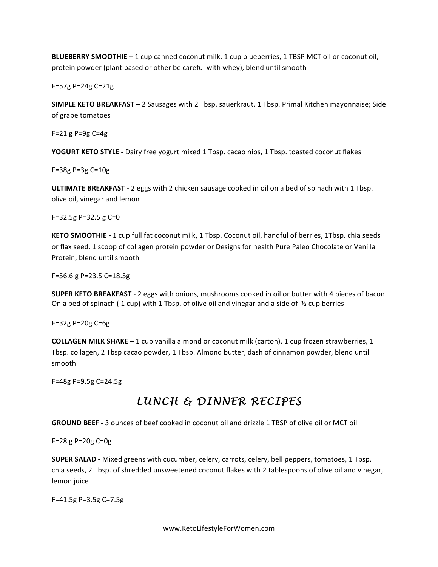**BLUEBERRY SMOOTHIE** – 1 cup canned coconut milk, 1 cup blueberries, 1 TBSP MCT oil or coconut oil, protein powder (plant based or other be careful with whey), blend until smooth

F=57g P=24g C=21g

**SIMPLE KETO BREAKFAST** – 2 Sausages with 2 Tbsp. sauerkraut, 1 Tbsp. Primal Kitchen mayonnaise; Side of grape tomatoes

 $F = 21 g P = 9g C = 4g$ 

**YOGURT KETO STYLE** - Dairy free yogurt mixed 1 Tbsp. cacao nips, 1 Tbsp. toasted coconut flakes

 $F = 38g P = 3g C = 10g$ 

**ULTIMATE BREAKFAST** - 2 eggs with 2 chicken sausage cooked in oil on a bed of spinach with 1 Tbsp. olive oil, vinegar and lemon

 $F=32.5g$  P=32.5 g C=0

**KETO SMOOTHIE** - 1 cup full fat coconut milk, 1 Tbsp. Coconut oil, handful of berries, 1Tbsp. chia seeds or flax seed, 1 scoop of collagen protein powder or Designs for health Pure Paleo Chocolate or Vanilla Protein, blend until smooth

 $F=56.6$  g P=23.5 C=18.5g

**SUPER KETO BREAKFAST** - 2 eggs with onions, mushrooms cooked in oil or butter with 4 pieces of bacon On a bed of spinach ( $1$  cup) with  $1$  Tbsp. of olive oil and vinegar and a side of  $\frac{1}{2}$  cup berries

 $F = 32g P = 20g C = 6g$ 

**COLLAGEN MILK SHAKE** - 1 cup vanilla almond or coconut milk (carton), 1 cup frozen strawberries, 1 Tbsp. collagen, 2 Tbsp cacao powder, 1 Tbsp. Almond butter, dash of cinnamon powder, blend until smooth

F=48g P=9.5g C=24.5g

## *LUNCH & DINNER RECIPES*

**GROUND BEEF** - 3 ounces of beef cooked in coconut oil and drizzle 1 TBSP of olive oil or MCT oil

 $F = 28 g P = 20g C = 0g$ 

**SUPER SALAD** - Mixed greens with cucumber, celery, carrots, celery, bell peppers, tomatoes, 1 Tbsp. chia seeds, 2 Tbsp. of shredded unsweetened coconut flakes with 2 tablespoons of olive oil and vinegar, lemon juice

F=41.5g P=3.5g C=7.5g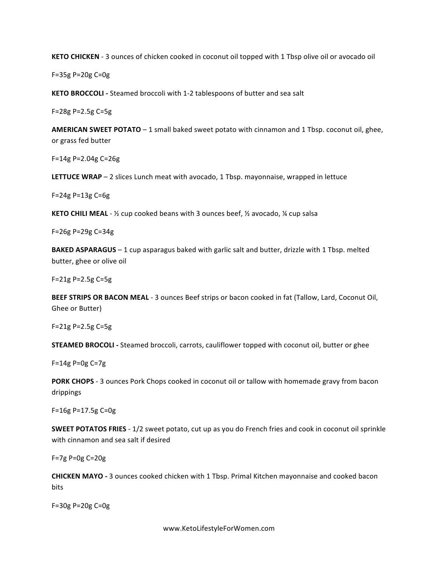**KETO CHICKEN** - 3 ounces of chicken cooked in coconut oil topped with 1 Tbsp olive oil or avocado oil

F=35g P=20g C=0g

**KETO BROCCOLI** - Steamed broccoli with 1-2 tablespoons of butter and sea salt

 $F = 28g P = 2.5g C = 5g$ 

AMERICAN SWEET POTATO - 1 small baked sweet potato with cinnamon and 1 Tbsp. coconut oil, ghee, or grass fed butter

 $F=14g P=2.04g C=26g$ 

**LETTUCE WRAP** – 2 slices Lunch meat with avocado, 1 Tbsp. mayonnaise, wrapped in lettuce

 $F = 24g P = 13g C = 6g$ 

**KETO CHILI MEAL** - ½ cup cooked beans with 3 ounces beef, ½ avocado, ¼ cup salsa

F=26g P=29g C=34g

**BAKED ASPARAGUS** – 1 cup asparagus baked with garlic salt and butter, drizzle with 1 Tbsp. melted butter, ghee or olive oil

F=21g P=2.5g C=5g

BEEF STRIPS OR BACON MEAL - 3 ounces Beef strips or bacon cooked in fat (Tallow, Lard, Coconut Oil, Ghee or Butter)

F=21g P=2.5g C=5g

**STEAMED BROCOLI** - Steamed broccoli, carrots, cauliflower topped with coconut oil, butter or ghee

 $F=14g P=0g C=7g$ 

**PORK CHOPS** - 3 ounces Pork Chops cooked in coconut oil or tallow with homemade gravy from bacon drippings

F=16g P=17.5g C=0g

**SWEET POTATOS FRIES** - 1/2 sweet potato, cut up as you do French fries and cook in coconut oil sprinkle with cinnamon and sea salt if desired

 $F=7g$  P=0g C=20g

**CHICKEN MAYO** - 3 ounces cooked chicken with 1 Tbsp. Primal Kitchen mayonnaise and cooked bacon bits

F=30g P=20g C=0g

www.KetoLifestyleForWomen.com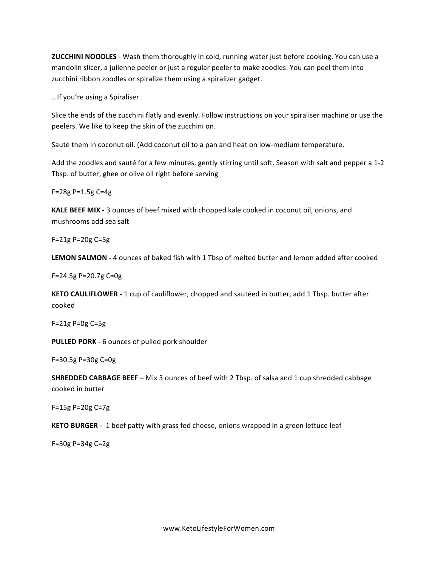**ZUCCHINI NOODLES** - Wash them thoroughly in cold, running water just before cooking. You can use a mandolin slicer, a julienne peeler or just a regular peeler to make zoodles. You can peel them into zucchini ribbon zoodles or spiralize them using a spiralizer gadget.

... If you're using a Spiraliser

Slice the ends of the zucchini flatly and evenly. Follow instructions on your spiraliser machine or use the peelers. We like to keep the skin of the zucchini on.

Sauté them in coconut oil. (Add coconut oil to a pan and heat on low-medium temperature.

Add the zoodles and sauté for a few minutes, gently stirring until soft. Season with salt and pepper a 1-2 Tbsp. of butter, ghee or olive oil right before serving

F=28g P=1.5g C=4g

**KALE BEEF MIX -** 3 ounces of beef mixed with chopped kale cooked in coconut oil, onions, and mushrooms add sea salt

F=21g P=20g C=5g

**LEMON SALMON** - 4 ounces of baked fish with 1 Tbsp of melted butter and lemon added after cooked

F=24.5g P=20.7g C=0g

**KETO CAULIFLOWER** - 1 cup of cauliflower, chopped and sautéed in butter, add 1 Tbsp. butter after cooked

 $F = 21g P = 0g C = 5g$ 

**PULLED PORK -** 6 ounces of pulled pork shoulder

F=30.5g P=30g C=0g

**SHREDDED CABBAGE BEEF –** Mix 3 ounces of beef with 2 Tbsp. of salsa and 1 cup shredded cabbage cooked in butter

F=15g P=20g C=7g

**KETO BURGER** - 1 beef patty with grass fed cheese, onions wrapped in a green lettuce leaf

 $F = 30g P = 34g C = 2g$ 

www.KetoLifestyleForWomen.com